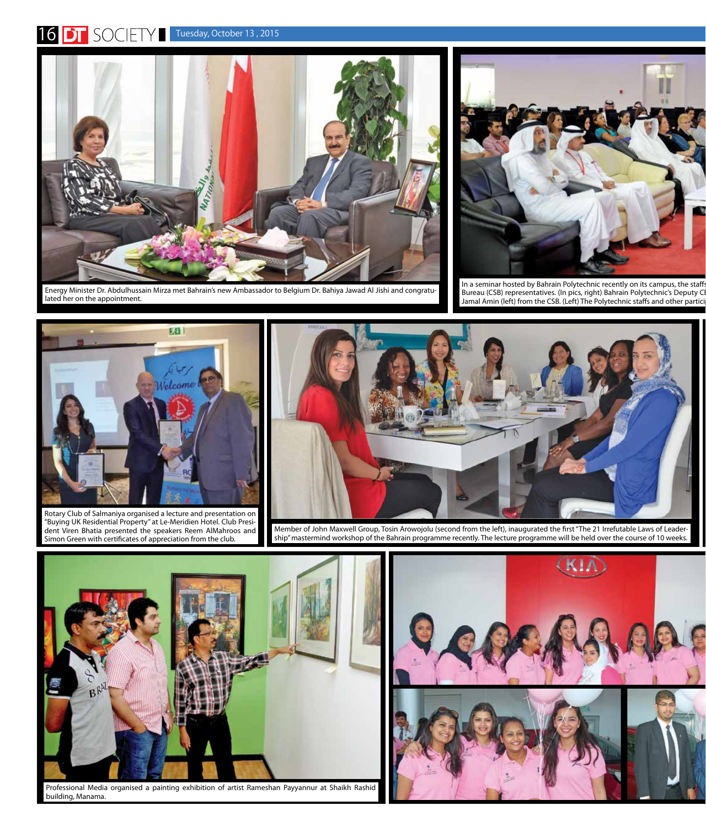## 16 **DT** SOCIETY Tuesday, October 13, 2015



Energy Minister Dr. Abdulhussain Mirza met Bahrain's new Ambassador to Belgium Dr. Bahiya Jawad Al Jishi and congratulated her on the appointment.



In a seminar hosted by Bahrain Polytechnic recently on its campus, the staffs Bureau (CSB) representatives. (In pics, right) Bahrain Polytechnic's Deputy CI Jamal Amin (left) from the CSB. (Left) The Polytechnic staffs and other partici



Rotary Club of Salmaniya organised a lecture and presentation on "Buying UK Residential Property" at Le-Meridien Hotel. Club President Viren Bhatia presented the speakers Reem AlMahroos and Simon Green with certificates of appreciation from the club.



Member of John Maxwell Group, Tosin Arowojolu (second from the left), inaugurated the first "The 21 Irrefutable Laws of Leadership" mastermind workshop of the Bahrain programme recently. The lecture programme will be held over the course of 10 weeks.



Professional Media organised a painting exhibition of artist Rameshan Payyannur at Shaikh Rashid building, Manama.